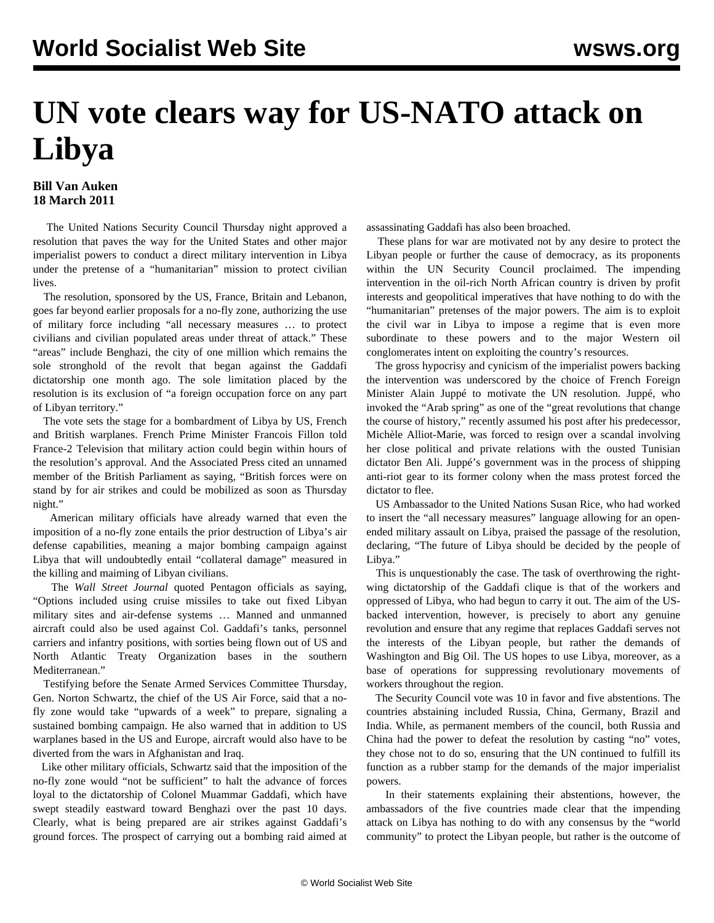## **UN vote clears way for US-NATO attack on Libya**

## **Bill Van Auken 18 March 2011**

 The United Nations Security Council Thursday night approved a resolution that paves the way for the United States and other major imperialist powers to conduct a direct military intervention in Libya under the pretense of a "humanitarian" mission to protect civilian lives.

 The resolution, sponsored by the US, France, Britain and Lebanon, goes far beyond earlier proposals for a no-fly zone, authorizing the use of military force including "all necessary measures … to protect civilians and civilian populated areas under threat of attack." These "areas" include Benghazi, the city of one million which remains the sole stronghold of the revolt that began against the Gaddafi dictatorship one month ago. The sole limitation placed by the resolution is its exclusion of "a foreign occupation force on any part of Libyan territory."

 The vote sets the stage for a bombardment of Libya by US, French and British warplanes. French Prime Minister Francois Fillon told France-2 Television that military action could begin within hours of the resolution's approval. And the Associated Press cited an unnamed member of the British Parliament as saying, "British forces were on stand by for air strikes and could be mobilized as soon as Thursday night."

 American military officials have already warned that even the imposition of a no-fly zone entails the prior destruction of Libya's air defense capabilities, meaning a major bombing campaign against Libya that will undoubtedly entail "collateral damage" measured in the killing and maiming of Libyan civilians.

 The *Wall Street Journal* quoted Pentagon officials as saying, "Options included using cruise missiles to take out fixed Libyan military sites and air-defense systems … Manned and unmanned aircraft could also be used against Col. Gaddafi's tanks, personnel carriers and infantry positions, with sorties being flown out of US and North Atlantic Treaty Organization bases in the southern Mediterranean."

 Testifying before the Senate Armed Services Committee Thursday, Gen. Norton Schwartz, the chief of the US Air Force, said that a nofly zone would take "upwards of a week" to prepare, signaling a sustained bombing campaign. He also warned that in addition to US warplanes based in the US and Europe, aircraft would also have to be diverted from the wars in Afghanistan and Iraq.

 Like other military officials, Schwartz said that the imposition of the no-fly zone would "not be sufficient" to halt the advance of forces loyal to the dictatorship of Colonel Muammar Gaddafi, which have swept steadily eastward toward Benghazi over the past 10 days. Clearly, what is being prepared are air strikes against Gaddafi's ground forces. The prospect of carrying out a bombing raid aimed at assassinating Gaddafi has also been broached.

 These plans for war are motivated not by any desire to protect the Libyan people or further the cause of democracy, as its proponents within the UN Security Council proclaimed. The impending intervention in the oil-rich North African country is driven by profit interests and geopolitical imperatives that have nothing to do with the "humanitarian" pretenses of the major powers. The aim is to exploit the civil war in Libya to impose a regime that is even more subordinate to these powers and to the major Western oil conglomerates intent on exploiting the country's resources.

 The gross hypocrisy and cynicism of the imperialist powers backing the intervention was underscored by the choice of French Foreign Minister Alain Juppé to motivate the UN resolution. Juppé, who invoked the "Arab spring" as one of the "great revolutions that change the course of history," recently assumed his post after his predecessor, Michèle Alliot-Marie, was forced to resign over a scandal involving her close political and private relations with the ousted Tunisian dictator Ben Ali. Juppé's government was in the process of shipping anti-riot gear to its former colony when the mass protest forced the dictator to flee.

 US Ambassador to the United Nations Susan Rice, who had worked to insert the "all necessary measures" language allowing for an openended military assault on Libya, praised the passage of the resolution, declaring, "The future of Libya should be decided by the people of Libya."

 This is unquestionably the case. The task of overthrowing the rightwing dictatorship of the Gaddafi clique is that of the workers and oppressed of Libya, who had begun to carry it out. The aim of the USbacked intervention, however, is precisely to abort any genuine revolution and ensure that any regime that replaces Gaddafi serves not the interests of the Libyan people, but rather the demands of Washington and Big Oil. The US hopes to use Libya, moreover, as a base of operations for suppressing revolutionary movements of workers throughout the region.

 The Security Council vote was 10 in favor and five abstentions. The countries abstaining included Russia, China, Germany, Brazil and India. While, as permanent members of the council, both Russia and China had the power to defeat the resolution by casting "no" votes, they chose not to do so, ensuring that the UN continued to fulfill its function as a rubber stamp for the demands of the major imperialist powers.

 In their statements explaining their abstentions, however, the ambassadors of the five countries made clear that the impending attack on Libya has nothing to do with any consensus by the "world community" to protect the Libyan people, but rather is the outcome of